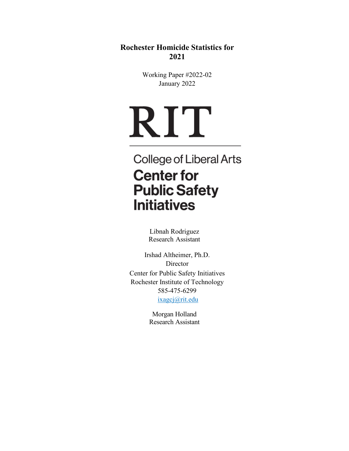**Rochester Homicide Statistics for 2021**

> Working Paper #2022-02 January 2022

# RIT

College of Liberal Arts **Center for Public Safety Initiatives** 

> Libnah Rodriguez Research Assistant

Irshad Altheimer, Ph.D. Director Center for Public Safety Initiatives Rochester Institute of Technology 585-475-6299 [ixagcj@rit.edu](mailto:ixagcj@rit.edu)

> Morgan Holland Research Assistant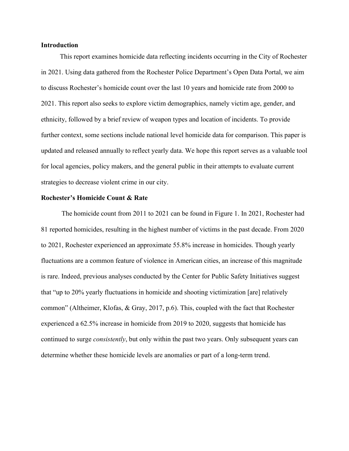#### **Introduction**

 This report examines homicide data reflecting incidents occurring in the City of Rochester in 2021. Using data gathered from the Rochester Police Department's Open Data Portal, we aim to discuss Rochester's homicide count over the last 10 years and homicide rate from 2000 to 2021. This report also seeks to explore victim demographics, namely victim age, gender, and ethnicity, followed by a brief review of weapon types and location of incidents. To provide further context, some sections include national level homicide data for comparison. This paper is updated and released annually to reflect yearly data. We hope this report serves as a valuable tool for local agencies, policy makers, and the general public in their attempts to evaluate current strategies to decrease violent crime in our city.

## **Rochester's Homicide Count & Rate**

The homicide count from 2011 to 2021 can be found in Figure 1. In 2021, Rochester had 81 reported homicides, resulting in the highest number of victims in the past decade. From 2020 to 2021, Rochester experienced an approximate 55.8% increase in homicides. Though yearly fluctuations are a common feature of violence in American cities, an increase of this magnitude is rare. Indeed, previous analyses conducted by the Center for Public Safety Initiatives suggest that "up to 20% yearly fluctuations in homicide and shooting victimization [are] relatively common" (Altheimer, Klofas, & Gray, 2017, p.6). This, coupled with the fact that Rochester experienced a 62.5% increase in homicide from 2019 to 2020, suggests that homicide has continued to surge *consistently*, but only within the past two years. Only subsequent years can determine whether these homicide levels are anomalies or part of a long-term trend.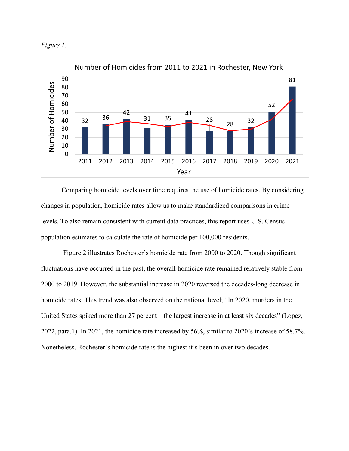



Comparing homicide levels over time requires the use of homicide rates. By considering changes in population, homicide rates allow us to make standardized comparisons in crime levels. To also remain consistent with current data practices, this report uses U.S. Census population estimates to calculate the rate of homicide per 100,000 residents.

Figure 2 illustrates Rochester's homicide rate from 2000 to 2020. Though significant fluctuations have occurred in the past, the overall homicide rate remained relatively stable from 2000 to 2019. However, the substantial increase in 2020 reversed the decades-long decrease in homicide rates. This trend was also observed on the national level; "In 2020, murders in the United States spiked more than 27 percent – the largest increase in at least six decades" (Lopez, 2022, para.1). In 2021, the homicide rate increased by 56%, similar to 2020's increase of 58.7%. Nonetheless, Rochester's homicide rate is the highest it's been in over two decades.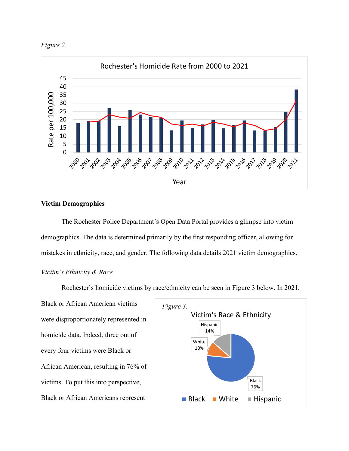



# **Victim Demographics**

The Rochester Police Department's Open Data Portal provides a glimpse into victim demographics. The data is determined primarily by the first responding officer, allowing for mistakes in ethnicity, race, and gender. The following data details 2021 victim demographics.

## *Victim's Ethnicity & Race*

Rochester's homicide victims by race/ethnicity can be seen in Figure 3 below. In 2021,

Black or African American victims were disproportionately represented in homicide data. Indeed, three out of every four victims were Black or African American, resulting in 76% of victims. To put this into perspective, Black or African Americans represent

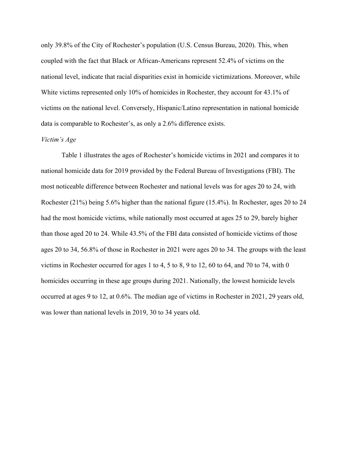only 39.8% of the City of Rochester's population (U.S. Census Bureau, 2020). This, when coupled with the fact that Black or African-Americans represent 52.4% of victims on the national level, indicate that racial disparities exist in homicide victimizations. Moreover, while White victims represented only 10% of homicides in Rochester, they account for 43.1% of victims on the national level. Conversely, Hispanic/Latino representation in national homicide data is comparable to Rochester's, as only a 2.6% difference exists.

## *Victim's Age*

Table 1 illustrates the ages of Rochester's homicide victims in 2021 and compares it to national homicide data for 2019 provided by the Federal Bureau of Investigations (FBI). The most noticeable difference between Rochester and national levels was for ages 20 to 24, with Rochester (21%) being 5.6% higher than the national figure (15.4%). In Rochester, ages 20 to 24 had the most homicide victims, while nationally most occurred at ages 25 to 29, barely higher than those aged 20 to 24. While 43.5% of the FBI data consisted of homicide victims of those ages 20 to 34, 56.8% of those in Rochester in 2021 were ages 20 to 34. The groups with the least victims in Rochester occurred for ages 1 to 4, 5 to 8, 9 to 12, 60 to 64, and 70 to 74, with 0 homicides occurring in these age groups during 2021. Nationally, the lowest homicide levels occurred at ages 9 to 12, at 0.6%. The median age of victims in Rochester in 2021, 29 years old, was lower than national levels in 2019, 30 to 34 years old.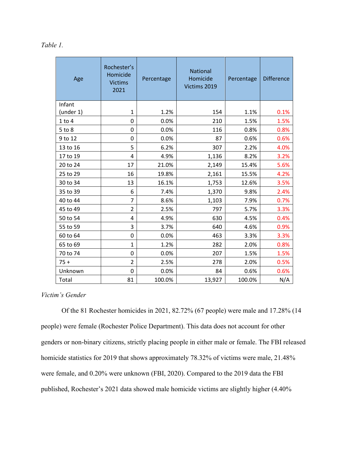| Table |  |
|-------|--|
|       |  |

| Age        | Rochester's<br>Homicide<br><b>Victims</b><br>2021 | Percentage | <b>National</b><br>Homicide<br>Victims 2019 | Percentage | <b>Difference</b> |
|------------|---------------------------------------------------|------------|---------------------------------------------|------------|-------------------|
| Infant     |                                                   |            |                                             |            |                   |
| (under 1)  | $\mathbf 1$                                       | 1.2%       | 154                                         | 1.1%       | 0.1%              |
| $1$ to $4$ | 0                                                 | 0.0%       | 210                                         | 1.5%       | 1.5%              |
| $5$ to $8$ | 0                                                 | 0.0%       | 116                                         | 0.8%       | 0.8%              |
| 9 to 12    | 0                                                 | 0.0%       | 87                                          | 0.6%       | 0.6%              |
| 13 to 16   | 5                                                 | 6.2%       | 307                                         | 2.2%       | 4.0%              |
| 17 to 19   | 4                                                 | 4.9%       | 1,136                                       | 8.2%       | 3.2%              |
| 20 to 24   | 17                                                | 21.0%      | 2,149                                       | 15.4%      | 5.6%              |
| 25 to 29   | 16                                                | 19.8%      | 2,161                                       | 15.5%      | 4.2%              |
| 30 to 34   | 13                                                | 16.1%      | 1,753                                       | 12.6%      | 3.5%              |
| 35 to 39   | 6                                                 | 7.4%       | 1,370                                       | 9.8%       | 2.4%              |
| 40 to 44   | $\overline{7}$                                    | 8.6%       | 1,103                                       | 7.9%       | 0.7%              |
| 45 to 49   | $\overline{2}$                                    | 2.5%       | 797                                         | 5.7%       | 3.3%              |
| 50 to 54   | 4                                                 | 4.9%       | 630                                         | 4.5%       | 0.4%              |
| 55 to 59   | 3                                                 | 3.7%       | 640                                         | 4.6%       | 0.9%              |
| 60 to 64   | 0                                                 | 0.0%       | 463                                         | 3.3%       | 3.3%              |
| 65 to 69   | $\mathbf{1}$                                      | 1.2%       | 282                                         | 2.0%       | 0.8%              |
| 70 to 74   | 0                                                 | 0.0%       | 207                                         | 1.5%       | 1.5%              |
| $75 +$     | $\overline{2}$                                    | 2.5%       | 278                                         | 2.0%       | 0.5%              |
| Unknown    | 0                                                 | 0.0%       | 84                                          | 0.6%       | 0.6%              |
| Total      | 81                                                | 100.0%     | 13,927                                      | 100.0%     | N/A               |

# *Victim's Gender*

Of the 81 Rochester homicides in 2021, 82.72% (67 people) were male and 17.28% (14 people) were female (Rochester Police Department). This data does not account for other genders or non-binary citizens, strictly placing people in either male or female. The FBI released homicide statistics for 2019 that shows approximately 78.32% of victims were male, 21.48% were female, and 0.20% were unknown (FBI, 2020). Compared to the 2019 data the FBI published, Rochester's 2021 data showed male homicide victims are slightly higher (4.40%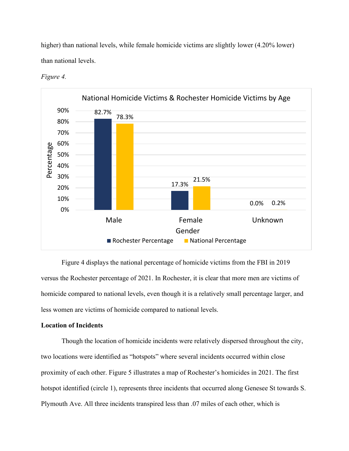higher) than national levels, while female homicide victims are slightly lower (4.20% lower) than national levels.



*Figure 4.* 

Figure 4 displays the national percentage of homicide victims from the FBI in 2019 versus the Rochester percentage of 2021. In Rochester, it is clear that more men are victims of homicide compared to national levels, even though it is a relatively small percentage larger, and less women are victims of homicide compared to national levels.

## **Location of Incidents**

Though the location of homicide incidents were relatively dispersed throughout the city, two locations were identified as "hotspots" where several incidents occurred within close proximity of each other. Figure 5 illustrates a map of Rochester's homicides in 2021. The first hotspot identified (circle 1), represents three incidents that occurred along Genesee St towards S. Plymouth Ave. All three incidents transpired less than .07 miles of each other, which is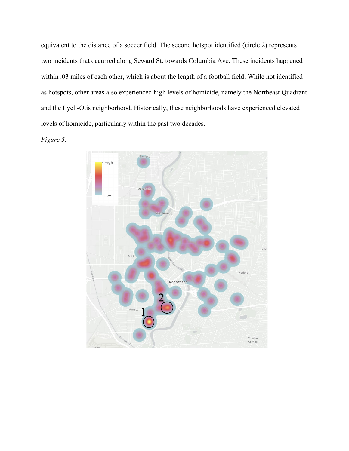equivalent to the distance of a soccer field. The second hotspot identified (circle 2) represents two incidents that occurred along Seward St. towards Columbia Ave. These incidents happened within .03 miles of each other, which is about the length of a football field. While not identified as hotspots, other areas also experienced high levels of homicide, namely the Northeast Quadrant and the Lyell-Otis neighborhood. Historically, these neighborhoods have experienced elevated levels of homicide, particularly within the past two decades.



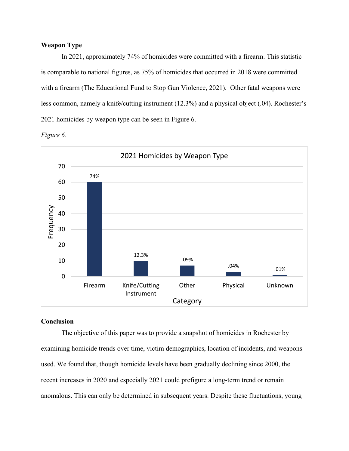## **Weapon Type**

In 2021, approximately 74% of homicides were committed with a firearm. This statistic is comparable to national figures, as 75% of homicides that occurred in 2018 were committed with a firearm (The Educational Fund to Stop Gun Violence, 2021). Other fatal weapons were less common, namely a knife/cutting instrument (12.3%) and a physical object (.04). Rochester's 2021 homicides by weapon type can be seen in Figure 6.





## **Conclusion**

The objective of this paper was to provide a snapshot of homicides in Rochester by examining homicide trends over time, victim demographics, location of incidents, and weapons used. We found that, though homicide levels have been gradually declining since 2000, the recent increases in 2020 and especially 2021 could prefigure a long-term trend or remain anomalous. This can only be determined in subsequent years. Despite these fluctuations, young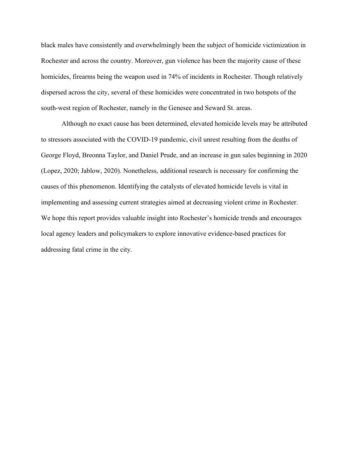black males have consistently and overwhelmingly been the subject of homicide victimization in Rochester and across the country. Moreover, gun violence has been the majority cause of these homicides, firearms being the weapon used in 74% of incidents in Rochester. Though relatively dispersed across the city, several of these homicides were concentrated in two hotspots of the south-west region of Rochester, namely in the Genesee and Seward St. areas.

Although no exact cause has been determined, elevated homicide levels may be attributed to stressors associated with the COVID-19 pandemic, civil unrest resulting from the deaths of George Floyd, Breonna Taylor, and Daniel Prude, and an increase in gun sales beginning in 2020 (Lopez, 2020; Jablow, 2020). Nonetheless, additional research is necessary for confirming the causes of this phenomenon. Identifying the catalysts of elevated homicide levels is vital in implementing and assessing current strategies aimed at decreasing violent crime in Rochester. We hope this report provides valuable insight into Rochester's homicide trends and encourages local agency leaders and policymakers to explore innovative evidence-based practices for addressing fatal crime in the city.